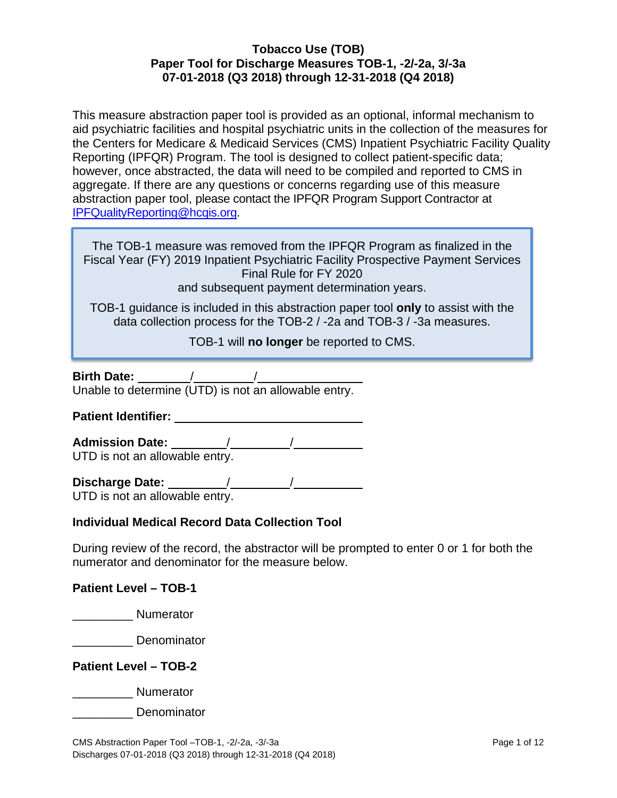This measure abstraction paper tool is provided as an optional, informal mechanism to aid psychiatric facilities and hospital psychiatric units in the collection of the measures for the Centers for Medicare & Medicaid Services (CMS) Inpatient Psychiatric Facility Quality Reporting (IPFQR) Program. The tool is designed to collect patient-specific data; however, once abstracted, the data will need to be compiled and reported to CMS in aggregate. If there are any questions or concerns regarding use of this measure abstraction paper tool, please contact the IPFQR Program Support Contractor at [IPFQualityReporting@hcqis.org.](mailto:IPFQualityReporting@hcqis.org)

The TOB-1 measure was removed from the IPFQR Program as finalized in the Fiscal Year (FY) 2019 Inpatient Psychiatric Facility Prospective Payment Services Final Rule for FY 2020 and subsequent payment determination years.

TOB-1 guidance is included in this abstraction paper tool **only** to assist with the data collection process for the TOB-2 / -2a and TOB-3 / -3a measures.

TOB-1 will **no longer** be reported to CMS.

| <b>Birth Date:</b> |  |  |
|--------------------|--|--|
|                    |  |  |

Unable to determine (UTD) is not an allowable entry.

**Patient Identifier:** 

**Admission Date:** / /

UTD is not an allowable entry.

**Discharge Date:** / / UTD is not an allowable entry.

## **Individual Medical Record Data Collection Tool**

During review of the record, the abstractor will be prompted to enter 0 or 1 for both the numerator and denominator for the measure below.

**Patient Level – TOB-1** 

\_\_\_\_\_\_\_\_\_ Numerator

Lenominator

**Patient Level – TOB-2**

decreased and Numerator

\_\_\_\_\_\_\_\_\_ Denominator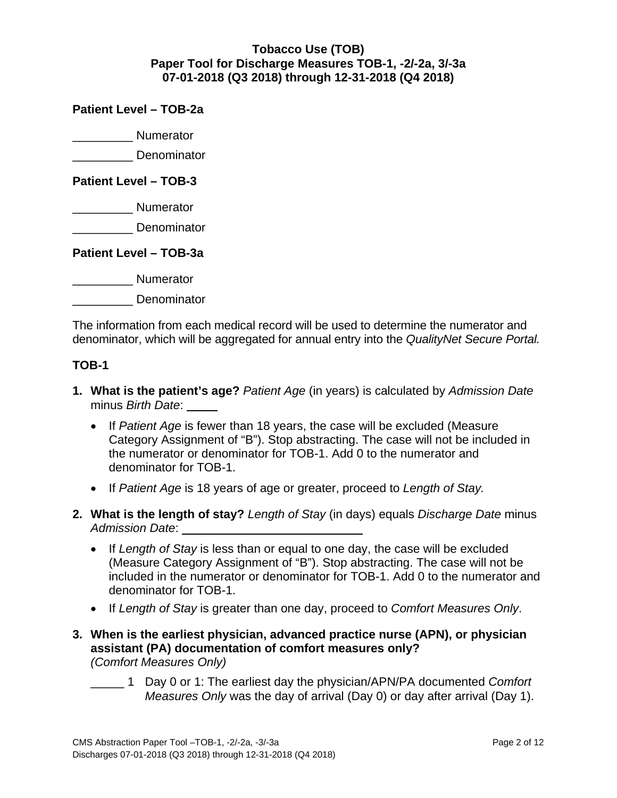## **Patient Level – TOB-2a**

\_\_\_\_\_\_\_\_\_ Numerator

\_\_\_\_\_\_\_\_\_ Denominator

### **Patient Level – TOB-3**

\_\_\_\_\_\_\_\_\_ Numerator

**Denominator** 

**Patient Level – TOB-3a**

\_\_\_\_\_\_\_\_\_\_\_\_\_ Numerator

\_\_\_\_\_\_\_\_\_ Denominator

The information from each medical record will be used to determine the numerator and denominator, which will be aggregated for annual entry into the *QualityNet Secure Portal.* 

## **TOB-1**

- **1. What is the patient's age?** *Patient Age* (in years) is calculated by *Admission Date* minus *Birth Date*:
	- If *Patient Age* is fewer than 18 years, the case will be excluded (Measure Category Assignment of "B"). Stop abstracting. The case will not be included in the numerator or denominator for TOB-1. Add 0 to the numerator and denominator for TOB-1.
	- If *Patient Age* is 18 years of age or greater, proceed to *Length of Stay.*
- **2. What is the length of stay?** *Length of Stay* (in days) equals *Discharge Date* minus *Admission Date*:
	- If *Length of Stay* is less than or equal to one day, the case will be excluded (Measure Category Assignment of "B"). Stop abstracting. The case will not be included in the numerator or denominator for TOB-1. Add 0 to the numerator and denominator for TOB-1.
	- If *Length of Stay* is greater than one day, proceed to *Comfort Measures Only*.
- **3. When is the earliest physician, advanced practice nurse (APN), or physician assistant (PA) documentation of comfort measures only?**  *(Comfort Measures Only)*
	- \_\_\_\_\_ 1 Day 0 or 1: The earliest day the physician/APN/PA documented *Comfort Measures Only* was the day of arrival (Day 0) or day after arrival (Day 1).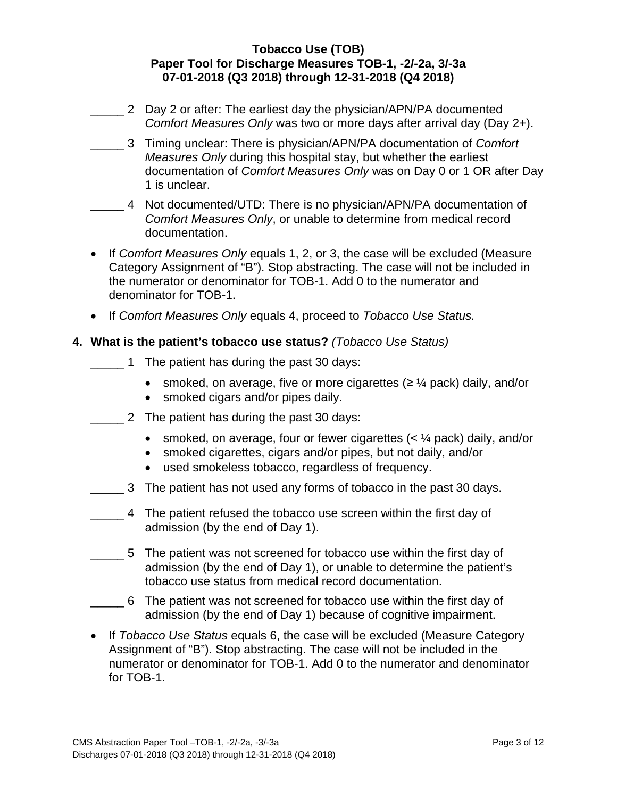- 2 Day 2 or after: The earliest day the physician/APN/PA documented *Comfort Measures Only* was two or more days after arrival day (Day 2+).
- \_\_\_\_\_ 3 Timing unclear: There is physician/APN/PA documentation of *Comfort Measures Only* during this hospital stay, but whether the earliest documentation of *Comfort Measures Only* was on Day 0 or 1 OR after Day 1 is unclear.
- \_\_\_\_\_ 4 Not documented/UTD: There is no physician/APN/PA documentation of *Comfort Measures Only*, or unable to determine from medical record documentation.
- If *Comfort Measures Only* equals 1, 2, or 3, the case will be excluded (Measure Category Assignment of "B"). Stop abstracting. The case will not be included in the numerator or denominator for TOB-1. Add 0 to the numerator and denominator for TOB-1.
- If *Comfort Measures Only* equals 4, proceed to *Tobacco Use Status.*

## **4. What is the patient's tobacco use status?** *(Tobacco Use Status)*

- 1 The patient has during the past 30 days:
	- smoked, on average, five or more cigarettes  $(≥ \frac{1}{4}$  pack) daily, and/or
	- smoked cigars and/or pipes daily.
- **EXECUTE:** 2 The patient has during the past 30 days:
	- smoked, on average, four or fewer cigarettes  $( $\frac{1}{4}$  pack) daily, and/or$
	- smoked cigarettes, cigars and/or pipes, but not daily, and/or
	- used smokeless tobacco, regardless of frequency.
- **EXECUTE:** 3 The patient has not used any forms of tobacco in the past 30 days.
- \_\_\_\_\_ 4 The patient refused the tobacco use screen within the first day of admission (by the end of Day 1).
- \_\_\_\_\_ 5 The patient was not screened for tobacco use within the first day of admission (by the end of Day 1), or unable to determine the patient's tobacco use status from medical record documentation.
- \_\_\_\_\_ 6 The patient was not screened for tobacco use within the first day of admission (by the end of Day 1) because of cognitive impairment.
- If *Tobacco Use Status* equals 6, the case will be excluded (Measure Category Assignment of "B"). Stop abstracting. The case will not be included in the numerator or denominator for TOB-1. Add 0 to the numerator and denominator for TOB-1.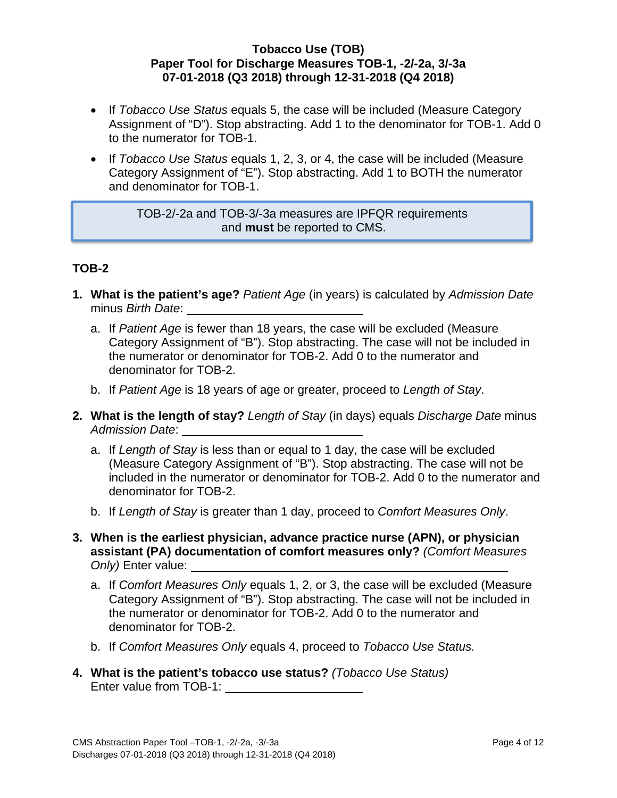- If *Tobacco Use Status* equals 5, the case will be included (Measure Category Assignment of "D"). Stop abstracting. Add 1 to the denominator for TOB-1. Add 0 to the numerator for TOB-1.
- If *Tobacco Use Status* equals 1, 2, 3, or 4, the case will be included (Measure Category Assignment of "E"). Stop abstracting. Add 1 to BOTH the numerator and denominator for TOB-1.

TOB-2/-2a and TOB-3/-3a measures are IPFQR requirements and **must** be reported to CMS.

# **TOB-2**

- **1. What is the patient's age?** *Patient Age* (in years) is calculated by *Admission Date* minus *Birth Date*:
	- a. If *Patient Age* is fewer than 18 years, the case will be excluded (Measure Category Assignment of "B"). Stop abstracting. The case will not be included in the numerator or denominator for TOB-2. Add 0 to the numerator and denominator for TOB-2.
	- b. If *Patient Age* is 18 years of age or greater, proceed to *Length of Stay*.
- **2. What is the length of stay?** *Length of Stay* (in days) equals *Discharge Date* minus *Admission Date*:
	- a. If *Length of Stay* is less than or equal to 1 day, the case will be excluded (Measure Category Assignment of "B"). Stop abstracting. The case will not be included in the numerator or denominator for TOB-2. Add 0 to the numerator and denominator for TOB-2.
	- b. If *Length of Stay* is greater than 1 day, proceed to *Comfort Measures Only*.
- **3. When is the earliest physician, advance practice nurse (APN), or physician assistant (PA) documentation of comfort measures only?** *(Comfort Measures Only)* Enter value:
	- a. If *Comfort Measures Only* equals 1, 2, or 3, the case will be excluded (Measure Category Assignment of "B"). Stop abstracting. The case will not be included in the numerator or denominator for TOB-2. Add 0 to the numerator and denominator for TOB-2.
	- b. If *Comfort Measures Only* equals 4, proceed to *Tobacco Use Status.*
- **4. What is the patient's tobacco use status?** *(Tobacco Use Status)* Enter value from TOB-1: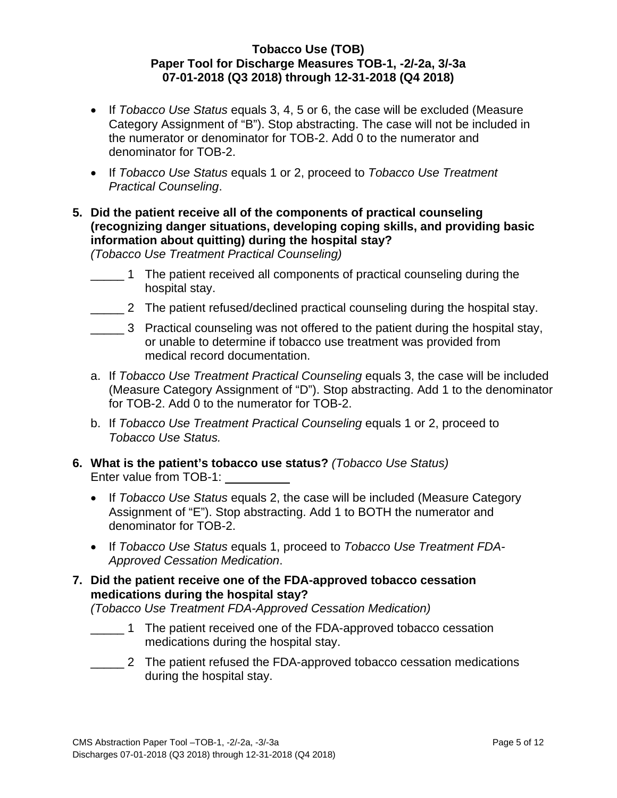- If *Tobacco Use Status* equals 3, 4, 5 or 6, the case will be excluded (Measure Category Assignment of "B"). Stop abstracting. The case will not be included in the numerator or denominator for TOB-2. Add 0 to the numerator and denominator for TOB-2.
- If *Tobacco Use Status* equals 1 or 2, proceed to *Tobacco Use Treatment Practical Counseling*.
- **5. Did the patient receive all of the components of practical counseling (recognizing danger situations, developing coping skills, and providing basic information about quitting) during the hospital stay?**

*(Tobacco Use Treatment Practical Counseling)*

- 1 The patient received all components of practical counseling during the hospital stay.
- \_\_\_\_\_ 2 The patient refused/declined practical counseling during the hospital stay.
- **EXECUTE:** 3 Practical counseling was not offered to the patient during the hospital stay, or unable to determine if tobacco use treatment was provided from medical record documentation.
- a. If *Tobacco Use Treatment Practical Counseling* equals 3, the case will be included (M*e*asure Category Assignment of "D"). Stop abstracting. Add 1 to the denominator for TOB-2. Add 0 to the numerator for TOB-2.
- b. If *Tobacco Use Treatment Practical Counseling* equals 1 or 2, proceed to *Tobacco Use Status.*
- **6. What is the patient's tobacco use status?** *(Tobacco Use Status)* Enter value from TOB-1:
	- If *Tobacco Use Status* equals 2, the case will be included (Measure Category Assignment of "E"). Stop abstracting. Add 1 to BOTH the numerator and denominator for TOB-2.
	- If *Tobacco Use Status* equals 1, proceed to *Tobacco Use Treatment FDA-Approved Cessation Medication*.
- **7. Did the patient receive one of the FDA-approved tobacco cessation medications during the hospital stay?**

*(Tobacco Use Treatment FDA-Approved Cessation Medication)*

- 1 The patient received one of the FDA-approved tobacco cessation medications during the hospital stay.
- **2** The patient refused the FDA-approved tobacco cessation medications during the hospital stay.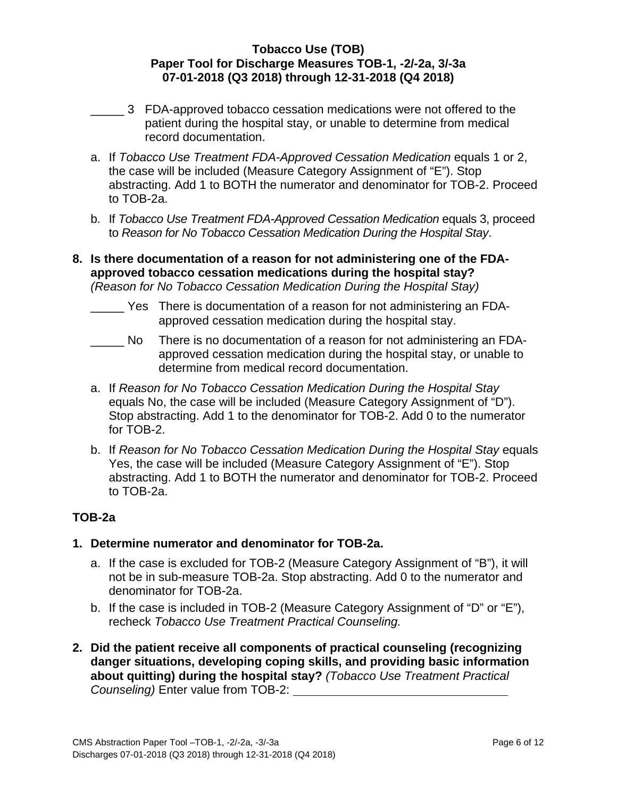- \_\_\_\_\_ 3 FDA-approved tobacco cessation medications were not offered to the patient during the hospital stay, or unable to determine from medical record documentation.
- a. If *Tobacco Use Treatment FDA-Approved Cessation Medication* equals 1 or 2, the case will be included (Measure Category Assignment of "E"). Stop abstracting. Add 1 to BOTH the numerator and denominator for TOB-2. Proceed to TOB-2a.
- b. If *Tobacco Use Treatment FDA-Approved Cessation Medication* equals 3, proceed to *Reason for No Tobacco Cessation Medication During the Hospital Stay*.
- **8. Is there documentation of a reason for not administering one of the FDAapproved tobacco cessation medications during the hospital stay?** *(Reason for No Tobacco Cessation Medication During the Hospital Stay)*
	- Yes There is documentation of a reason for not administering an FDAapproved cessation medication during the hospital stay.
	- \_\_\_\_\_ No There is no documentation of a reason for not administering an FDAapproved cessation medication during the hospital stay, or unable to determine from medical record documentation.
	- a. If *Reason for No Tobacco Cessation Medication During the Hospital Stay* equals No, the case will be included (Measure Category Assignment of "D"). Stop abstracting. Add 1 to the denominator for TOB-2. Add 0 to the numerator for TOB-2.
	- b. If *Reason for No Tobacco Cessation Medication During the Hospital Stay* equals Yes, the case will be included (Measure Category Assignment of "E"). Stop abstracting. Add 1 to BOTH the numerator and denominator for TOB-2. Proceed to TOB-2a.

# **TOB-2a**

- **1. Determine numerator and denominator for TOB-2a.**
	- a. If the case is excluded for TOB-2 (Measure Category Assignment of "B"), it will not be in sub-measure TOB-2a. Stop abstracting. Add 0 to the numerator and denominator for TOB-2a.
	- b. If the case is included in TOB-2 (Measure Category Assignment of "D" or "E"), recheck *Tobacco Use Treatment Practical Counseling.*
- **2. Did the patient receive all components of practical counseling (recognizing danger situations, developing coping skills, and providing basic information about quitting) during the hospital stay?** *(Tobacco Use Treatment Practical Counseling)* Enter value from TOB-2: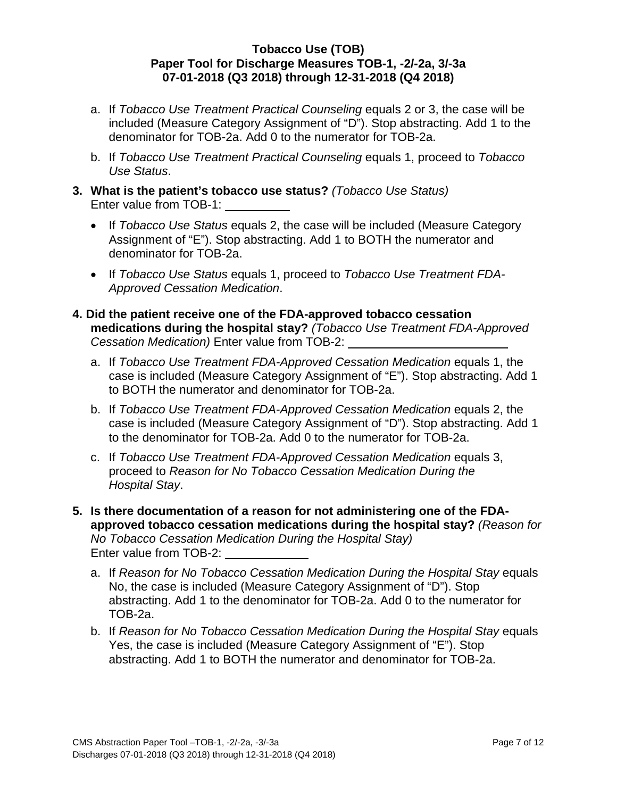- a. If *Tobacco Use Treatment Practical Counseling* equals 2 or 3, the case will be included (Measure Category Assignment of "D"). Stop abstracting. Add 1 to the denominator for TOB-2a. Add 0 to the numerator for TOB-2a.
- b. If *Tobacco Use Treatment Practical Counseling* equals 1, proceed to *Tobacco Use Status*.
- **3. What is the patient's tobacco use status?** *(Tobacco Use Status)* Enter value from TOB-1:
	- If *Tobacco Use Status* equals 2, the case will be included (Measure Category Assignment of "E"). Stop abstracting. Add 1 to BOTH the numerator and denominator for TOB-2a.
	- If *Tobacco Use Status* equals 1, proceed to *Tobacco Use Treatment FDA-Approved Cessation Medication*.
- **4. Did the patient receive one of the FDA-approved tobacco cessation medications during the hospital stay?** *(Tobacco Use Treatment FDA-Approved Cessation Medication)* Enter value from TOB-2:
	- a. If *Tobacco Use Treatment FDA-Approved Cessation Medication* equals 1, the case is included (M*e*asure Category Assignment of "E"). Stop abstracting. Add 1 to BOTH the numerator and denominator for TOB-2a.
	- b. If *Tobacco Use Treatment FDA-Approved Cessation Medication* equals 2, the case is included (Measure Category Assignment of "D"). Stop abstracting. Add 1 to the denominator for TOB-2a. Add 0 to the numerator for TOB-2a.
	- c. If *Tobacco Use Treatment FDA-Approved Cessation Medication* equals 3, proceed to *Reason for No Tobacco Cessation Medication During the Hospital Stay*.
- **5. Is there documentation of a reason for not administering one of the FDAapproved tobacco cessation medications during the hospital stay?** *(Reason for No Tobacco Cessation Medication During the Hospital Stay)* Enter value from TOB-2:
	- a. If *Reason for No Tobacco Cessation Medication During the Hospital Stay* equals No, the case is included (Measure Category Assignment of "D"). Stop abstracting. Add 1 to the denominator for TOB-2a. Add 0 to the numerator for TOB-2a.
	- b. If *Reason for No Tobacco Cessation Medication During the Hospital Stay* equals Yes, the case is included (Measure Category Assignment of "E"). Stop abstracting. Add 1 to BOTH the numerator and denominator for TOB-2a.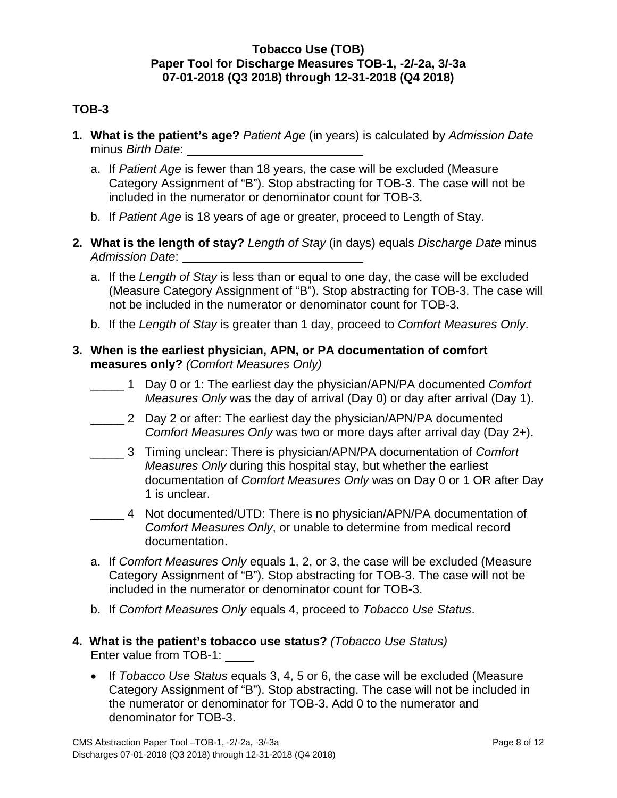## **TOB-3**

- **1. What is the patient's age?** *Patient Age* (in years) is calculated by *Admission Date* minus *Birth Date*:
	- a. If *Patient Age* is fewer than 18 years, the case will be excluded (Measure Category Assignment of "B"). Stop abstracting for TOB-3. The case will not be included in the numerator or denominator count for TOB-3.
	- b. If *Patient Age* is 18 years of age or greater, proceed to Length of Stay.
- **2. What is the length of stay?** *Length of Stay* (in days) equals *Discharge Date* minus *Admission Date*:
	- a. If the *Length of Stay* is less than or equal to one day, the case will be excluded (Measure Category Assignment of "B"). Stop abstracting for TOB-3. The case will not be included in the numerator or denominator count for TOB-3.
	- b. If the *Length of Stay* is greater than 1 day, proceed to *Comfort Measures Only*.
- **3. When is the earliest physician, APN, or PA documentation of comfort measures only?** *(Comfort Measures Only)*
	- \_\_\_\_\_ 1 Day 0 or 1: The earliest day the physician/APN/PA documented *Comfort Measures Only* was the day of arrival (Day 0) or day after arrival (Day 1).
	- **2** Day 2 or after: The earliest day the physician/APN/PA documented *Comfort Measures Only* was two or more days after arrival day (Day 2+).
	- \_\_\_\_\_ 3 Timing unclear: There is physician/APN/PA documentation of *Comfort Measures Only* during this hospital stay, but whether the earliest documentation of *Comfort Measures Only* was on Day 0 or 1 OR after Day 1 is unclear.
	- \_\_\_\_\_ 4 Not documented/UTD: There is no physician/APN/PA documentation of *Comfort Measures Only*, or unable to determine from medical record documentation.
	- a. If *Comfort Measures Only* equals 1, 2, or 3, the case will be excluded (Measure Category Assignment of "B"). Stop abstracting for TOB-3. The case will not be included in the numerator or denominator count for TOB-3.
	- b. If *Comfort Measures Only* equals 4, proceed to *Tobacco Use Status*.
- **4. What is the patient's tobacco use status?** *(Tobacco Use Status)* Enter value from TOB-1:
	- If *Tobacco Use Status* equals 3, 4, 5 or 6, the case will be excluded (Measure Category Assignment of "B"). Stop abstracting. The case will not be included in the numerator or denominator for TOB-3. Add 0 to the numerator and denominator for TOB-3.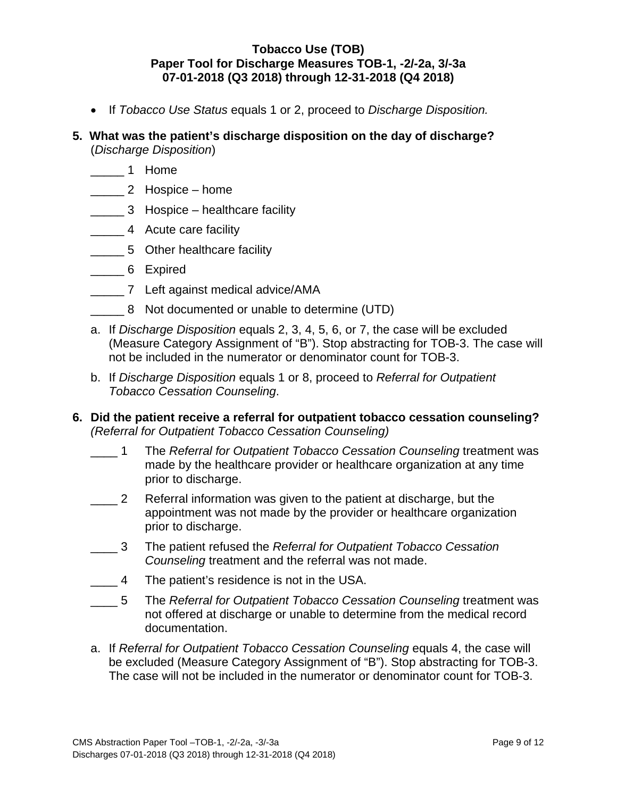- If *Tobacco Use Status* equals 1 or 2, proceed to *Discharge Disposition.*
- **5. What was the patient's discharge disposition on the day of discharge?** (*Discharge Disposition*)
	- \_\_\_\_\_ 1 Home
	- \_\_\_\_\_ 2 Hospice home
	- **Example 2 Hospice** healthcare facility
	- \_\_\_\_\_\_\_ 4 Acute care facility
	- 5 Other healthcare facility
	- \_\_\_\_\_ 6 Expired
	- **\_\_\_\_\_\_\_\_ 7** Left against medical advice/AMA
	- \_\_\_\_\_ 8 Not documented or unable to determine (UTD)
	- a. If *Discharge Disposition* equals 2, 3, 4, 5, 6, or 7, the case will be excluded (Measure Category Assignment of "B"). Stop abstracting for TOB-3. The case will not be included in the numerator or denominator count for TOB-3.
	- b. If *Discharge Disposition* equals 1 or 8, proceed to *Referral for Outpatient Tobacco Cessation Counseling*.
- **6. Did the patient receive a referral for outpatient tobacco cessation counseling?**  *(Referral for Outpatient Tobacco Cessation Counseling)*
	- \_\_\_\_ 1 The *Referral for Outpatient Tobacco Cessation Counseling* treatment was made by the healthcare provider or healthcare organization at any time prior to discharge.
	- \_\_\_\_ 2 Referral information was given to the patient at discharge, but the appointment was not made by the provider or healthcare organization prior to discharge.
	- \_\_\_\_ 3 The patient refused the *Referral for Outpatient Tobacco Cessation Counseling* treatment and the referral was not made.
	- \_\_\_\_ 4 The patient's residence is not in the USA.
	- \_\_\_\_ 5 The *Referral for Outpatient Tobacco Cessation Counseling* treatment was not offered at discharge or unable to determine from the medical record documentation.
	- a. If *Referral for Outpatient Tobacco Cessation Counseling* equals 4, the case will be excluded (Measure Category Assignment of "B"). Stop abstracting for TOB-3. The case will not be included in the numerator or denominator count for TOB-3.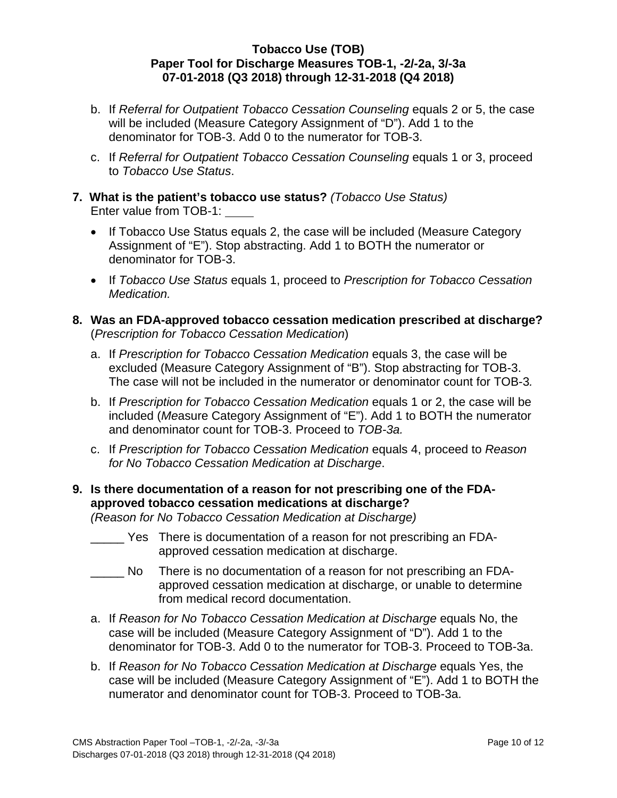- b. If *Referral for Outpatient Tobacco Cessation Counseling* equals 2 or 5, the case will be included (Measure Category Assignment of "D"). Add 1 to the denominator for TOB-3. Add 0 to the numerator for TOB-3.
- c. If *Referral for Outpatient Tobacco Cessation Counseling* equals 1 or 3, proceed to *Tobacco Use Status*.
- **7. What is the patient's tobacco use status?** *(Tobacco Use Status)* Enter value from TOB-1:
	- If Tobacco Use Status equals 2, the case will be included (Measure Category Assignment of "E"). Stop abstracting. Add 1 to BOTH the numerator or denominator for TOB-3.
	- If *Tobacco Use Status* equals 1, proceed to *Prescription for Tobacco Cessation Medication.*
- **8. Was an FDA-approved tobacco cessation medication prescribed at discharge?**  (*Prescription for Tobacco Cessation Medication*)
	- a. If *Prescription for Tobacco Cessation Medication* equals 3, the case will be excluded (Measure Category Assignment of "B"). Stop abstracting for TOB-3. The case will not be included in the numerator or denominator count for TOB-3*.*
	- b. If *Prescription for Tobacco Cessation Medication* equals 1 or 2, the case will be included (*Me*asure Category Assignment of "E"). Add 1 to BOTH the numerator and denominator count for TOB-3. Proceed to *TOB-3a.*
	- c. If *Prescription for Tobacco Cessation Medication* equals 4, proceed to *Reason for No Tobacco Cessation Medication at Discharge*.

# **9. Is there documentation of a reason for not prescribing one of the FDAapproved tobacco cessation medications at discharge?**

*(Reason for No Tobacco Cessation Medication at Discharge)*

- \_\_\_\_\_ Yes There is documentation of a reason for not prescribing an FDAapproved cessation medication at discharge.
- No There is no documentation of a reason for not prescribing an FDAapproved cessation medication at discharge, or unable to determine from medical record documentation.
- a. If *Reason for No Tobacco Cessation Medication at Discharge* equals No, the case will be included (Measure Category Assignment of "D"). Add 1 to the denominator for TOB-3. Add 0 to the numerator for TOB-3. Proceed to TOB-3a.
- b. If *Reason for No Tobacco Cessation Medication at Discharge* equals Yes, the case will be included (Measure Category Assignment of "E"). Add 1 to BOTH the numerator and denominator count for TOB-3. Proceed to TOB-3a.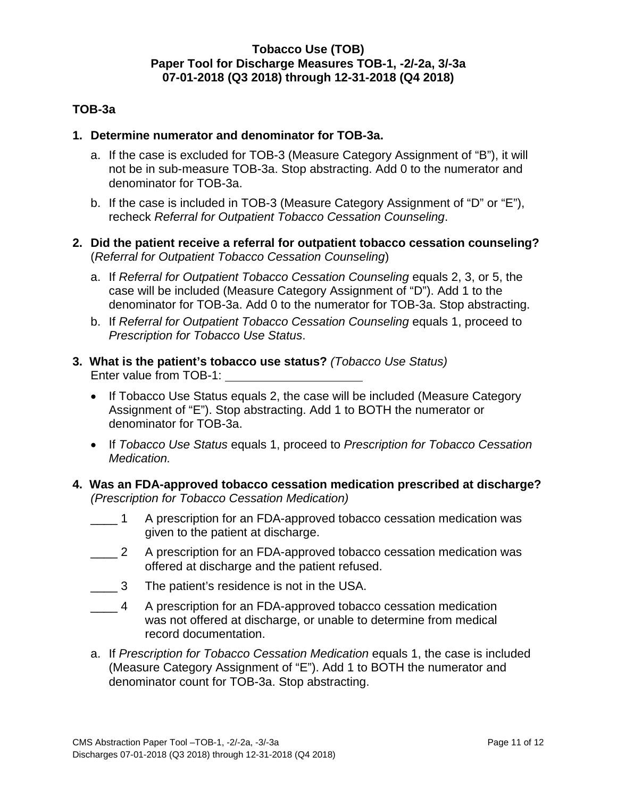## **TOB-3a**

#### **1. Determine numerator and denominator for TOB-3a.**

- a. If the case is excluded for TOB-3 (Measure Category Assignment of "B"), it will not be in sub-measure TOB-3a. Stop abstracting. Add 0 to the numerator and denominator for TOB-3a.
- b. If the case is included in TOB-3 (Measure Category Assignment of "D" or "E"), recheck *Referral for Outpatient Tobacco Cessation Counseling*.
- **2. Did the patient receive a referral for outpatient tobacco cessation counseling?**  (*Referral for Outpatient Tobacco Cessation Counseling*)
	- a. If *Referral for Outpatient Tobacco Cessation Counseling* equals 2, 3, or 5, the case will be included (Measure Category Assignment of "D"). Add 1 to the denominator for TOB-3a. Add 0 to the numerator for TOB-3a. Stop abstracting.
	- b. If *Referral for Outpatient Tobacco Cessation Counseling* equals 1, proceed to *Prescription for Tobacco Use Status*.
- **3. What is the patient's tobacco use status?** *(Tobacco Use Status)* Enter value from TOB-1:
	- If Tobacco Use Status equals 2, the case will be included (Measure Category Assignment of "E"). Stop abstracting. Add 1 to BOTH the numerator or denominator for TOB-3a.
	- If *Tobacco Use Status* equals 1, proceed to *Prescription for Tobacco Cessation Medication.*
- **4. Was an FDA-approved tobacco cessation medication prescribed at discharge?**  *(Prescription for Tobacco Cessation Medication)* 
	- \_\_\_\_ 1 A prescription for an FDA-approved tobacco cessation medication was given to the patient at discharge.
	- 2 A prescription for an FDA-approved tobacco cessation medication was offered at discharge and the patient refused.
	- \_\_\_\_ 3 The patient's residence is not in the USA.
	- \_\_\_\_ 4 A prescription for an FDA-approved tobacco cessation medication was not offered at discharge, or unable to determine from medical record documentation.
	- a. If *Prescription for Tobacco Cessation Medication* equals 1, the case is included (Measure Category Assignment of "E"). Add 1 to BOTH the numerator and denominator count for TOB-3a. Stop abstracting.